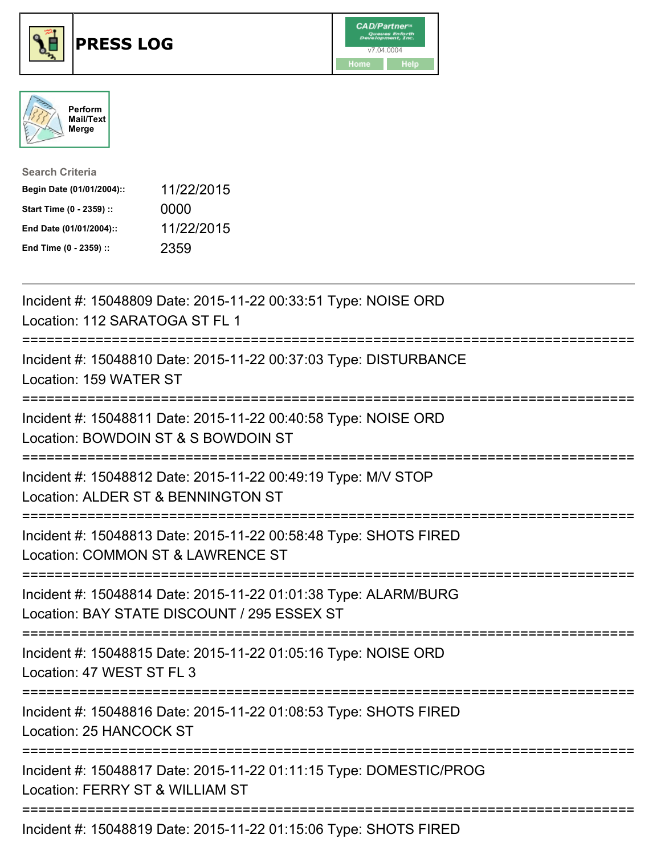





| <b>Search Criteria</b>    |            |
|---------------------------|------------|
| Begin Date (01/01/2004):: | 11/22/2015 |
| Start Time (0 - 2359) ::  | 0000       |
| End Date (01/01/2004)::   | 11/22/2015 |
| End Time (0 - 2359) ::    | 2359       |

| Incident #: 15048809 Date: 2015-11-22 00:33:51 Type: NOISE ORD<br>Location: 112 SARATOGA ST FL 1                                               |
|------------------------------------------------------------------------------------------------------------------------------------------------|
| Incident #: 15048810 Date: 2015-11-22 00:37:03 Type: DISTURBANCE<br>Location: 159 WATER ST<br>---------------                                  |
| Incident #: 15048811 Date: 2015-11-22 00:40:58 Type: NOISE ORD<br>Location: BOWDOIN ST & S BOWDOIN ST<br>=========================             |
| Incident #: 15048812 Date: 2015-11-22 00:49:19 Type: M/V STOP<br>Location: ALDER ST & BENNINGTON ST<br>---------------------------             |
| Incident #: 15048813 Date: 2015-11-22 00:58:48 Type: SHOTS FIRED<br>Location: COMMON ST & LAWRENCE ST                                          |
| Incident #: 15048814 Date: 2015-11-22 01:01:38 Type: ALARM/BURG<br>Location: BAY STATE DISCOUNT / 295 ESSEX ST<br>============================ |
| Incident #: 15048815 Date: 2015-11-22 01:05:16 Type: NOISE ORD<br>Location: 47 WEST ST FL 3                                                    |
| Incident #: 15048816 Date: 2015-11-22 01:08:53 Type: SHOTS FIRED<br>Location: 25 HANCOCK ST                                                    |
| Incident #: 15048817 Date: 2015-11-22 01:11:15 Type: DOMESTIC/PROG<br>Location: FERRY ST & WILLIAM ST                                          |
| Incident #: 15048819 Date: 2015-11-22 01:15:06 Type: SHOTS FIRED                                                                               |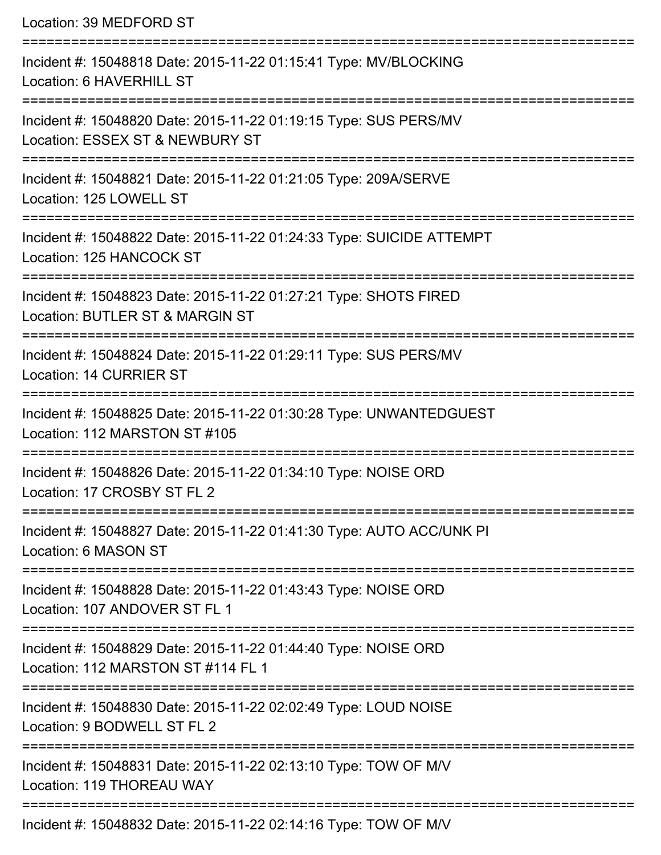| Location: 39 MEDFORD ST                                                                                                      |
|------------------------------------------------------------------------------------------------------------------------------|
| Incident #: 15048818 Date: 2015-11-22 01:15:41 Type: MV/BLOCKING<br>Location: 6 HAVERHILL ST                                 |
| Incident #: 15048820 Date: 2015-11-22 01:19:15 Type: SUS PERS/MV<br>Location: ESSEX ST & NEWBURY ST                          |
| Incident #: 15048821 Date: 2015-11-22 01:21:05 Type: 209A/SERVE<br>Location: 125 LOWELL ST                                   |
| Incident #: 15048822 Date: 2015-11-22 01:24:33 Type: SUICIDE ATTEMPT<br>Location: 125 HANCOCK ST                             |
| Incident #: 15048823 Date: 2015-11-22 01:27:21 Type: SHOTS FIRED<br>Location: BUTLER ST & MARGIN ST                          |
| =========================<br>Incident #: 15048824 Date: 2015-11-22 01:29:11 Type: SUS PERS/MV<br>Location: 14 CURRIER ST     |
| Incident #: 15048825 Date: 2015-11-22 01:30:28 Type: UNWANTEDGUEST<br>Location: 112 MARSTON ST #105                          |
| Incident #: 15048826 Date: 2015-11-22 01:34:10 Type: NOISE ORD<br>Location: 17 CROSBY ST FL 2                                |
| ============================<br>Incident #: 15048827 Date: 2015-11-22 01:41:30 Type: AUTO ACC/UNK PI<br>Location: 6 MASON ST |
| Incident #: 15048828 Date: 2015-11-22 01:43:43 Type: NOISE ORD<br>Location: 107 ANDOVER ST FL 1                              |
| Incident #: 15048829 Date: 2015-11-22 01:44:40 Type: NOISE ORD<br>Location: 112 MARSTON ST #114 FL 1<br>:=================== |
| Incident #: 15048830 Date: 2015-11-22 02:02:49 Type: LOUD NOISE<br>Location: 9 BODWELL ST FL 2                               |
| Incident #: 15048831 Date: 2015-11-22 02:13:10 Type: TOW OF M/V<br>Location: 119 THOREAU WAY                                 |
| Incident #: 15048832 Date: 2015-11-22 02:14:16 Type: TOW OF M/V                                                              |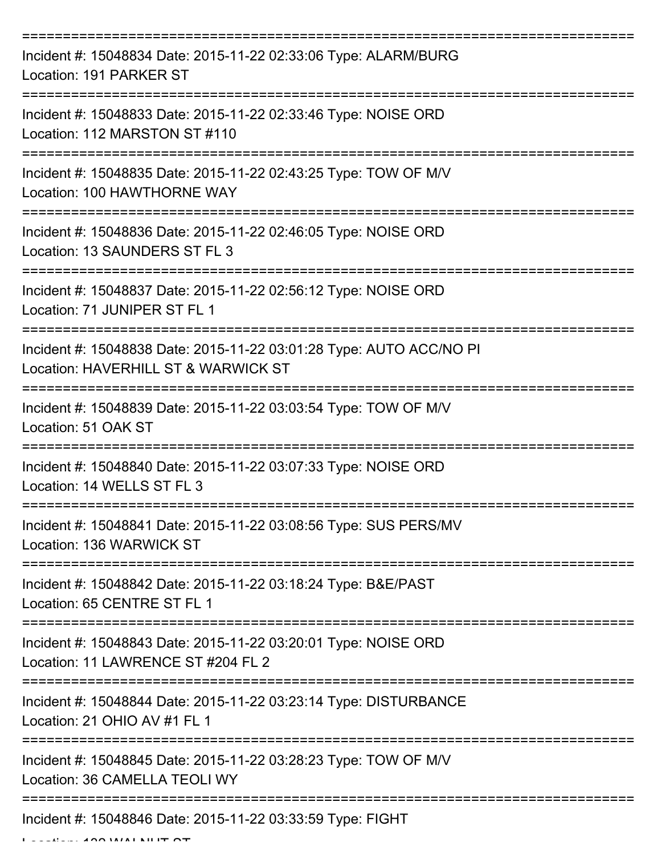| Incident #: 15048834 Date: 2015-11-22 02:33:06 Type: ALARM/BURG<br>Location: 191 PARKER ST                 |
|------------------------------------------------------------------------------------------------------------|
| Incident #: 15048833 Date: 2015-11-22 02:33:46 Type: NOISE ORD<br>Location: 112 MARSTON ST #110            |
| Incident #: 15048835 Date: 2015-11-22 02:43:25 Type: TOW OF M/V<br>Location: 100 HAWTHORNE WAY             |
| Incident #: 15048836 Date: 2015-11-22 02:46:05 Type: NOISE ORD<br>Location: 13 SAUNDERS ST FL 3            |
| Incident #: 15048837 Date: 2015-11-22 02:56:12 Type: NOISE ORD<br>Location: 71 JUNIPER ST FL 1             |
| Incident #: 15048838 Date: 2015-11-22 03:01:28 Type: AUTO ACC/NO PI<br>Location: HAVERHILL ST & WARWICK ST |
| Incident #: 15048839 Date: 2015-11-22 03:03:54 Type: TOW OF M/V<br>Location: 51 OAK ST                     |
| Incident #: 15048840 Date: 2015-11-22 03:07:33 Type: NOISE ORD<br>Location: 14 WELLS ST FL 3               |
| Incident #: 15048841 Date: 2015-11-22 03:08:56 Type: SUS PERS/MV<br>Location: 136 WARWICK ST               |
| Incident #: 15048842 Date: 2015-11-22 03:18:24 Type: B&E/PAST<br>Location: 65 CENTRE ST FL 1               |
| Incident #: 15048843 Date: 2015-11-22 03:20:01 Type: NOISE ORD<br>Location: 11 LAWRENCE ST #204 FL 2       |
| Incident #: 15048844 Date: 2015-11-22 03:23:14 Type: DISTURBANCE<br>Location: 21 OHIO AV #1 FL 1           |
| Incident #: 15048845 Date: 2015-11-22 03:28:23 Type: TOW OF M/V<br>Location: 36 CAMELLA TEOLI WY           |
| Incident #: 15048846 Date: 2015-11-22 03:33:59 Type: FIGHT                                                 |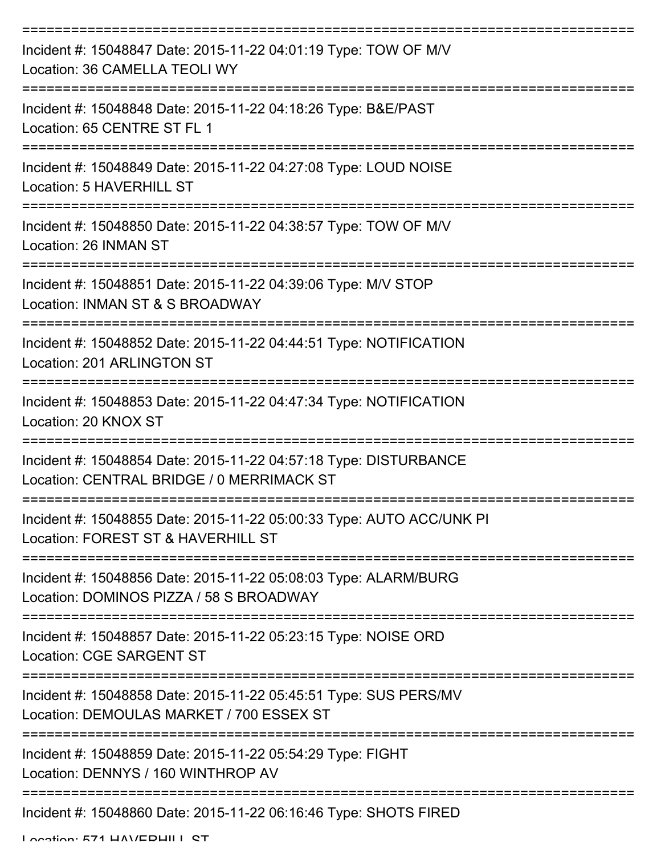| Incident #: 15048847 Date: 2015-11-22 04:01:19 Type: TOW OF M/V<br>Location: 36 CAMELLA TEOLI WY              |
|---------------------------------------------------------------------------------------------------------------|
| Incident #: 15048848 Date: 2015-11-22 04:18:26 Type: B&E/PAST<br>Location: 65 CENTRE ST FL 1                  |
| Incident #: 15048849 Date: 2015-11-22 04:27:08 Type: LOUD NOISE<br>Location: 5 HAVERHILL ST                   |
| Incident #: 15048850 Date: 2015-11-22 04:38:57 Type: TOW OF M/V<br>Location: 26 INMAN ST                      |
| Incident #: 15048851 Date: 2015-11-22 04:39:06 Type: M/V STOP<br>Location: INMAN ST & S BROADWAY              |
| Incident #: 15048852 Date: 2015-11-22 04:44:51 Type: NOTIFICATION<br>Location: 201 ARLINGTON ST               |
| -------------<br>Incident #: 15048853 Date: 2015-11-22 04:47:34 Type: NOTIFICATION<br>Location: 20 KNOX ST    |
| Incident #: 15048854 Date: 2015-11-22 04:57:18 Type: DISTURBANCE<br>Location: CENTRAL BRIDGE / 0 MERRIMACK ST |
| Incident #: 15048855 Date: 2015-11-22 05:00:33 Type: AUTO ACC/UNK PI<br>Location: FOREST ST & HAVERHILL ST    |
| Incident #: 15048856 Date: 2015-11-22 05:08:03 Type: ALARM/BURG<br>Location: DOMINOS PIZZA / 58 S BROADWAY    |
| Incident #: 15048857 Date: 2015-11-22 05:23:15 Type: NOISE ORD<br><b>Location: CGE SARGENT ST</b>             |
| Incident #: 15048858 Date: 2015-11-22 05:45:51 Type: SUS PERS/MV<br>Location: DEMOULAS MARKET / 700 ESSEX ST  |
| Incident #: 15048859 Date: 2015-11-22 05:54:29 Type: FIGHT<br>Location: DENNYS / 160 WINTHROP AV              |
| Incident #: 15048860 Date: 2015-11-22 06:16:46 Type: SHOTS FIRED                                              |

Location: 571 HAV/EDHILL CT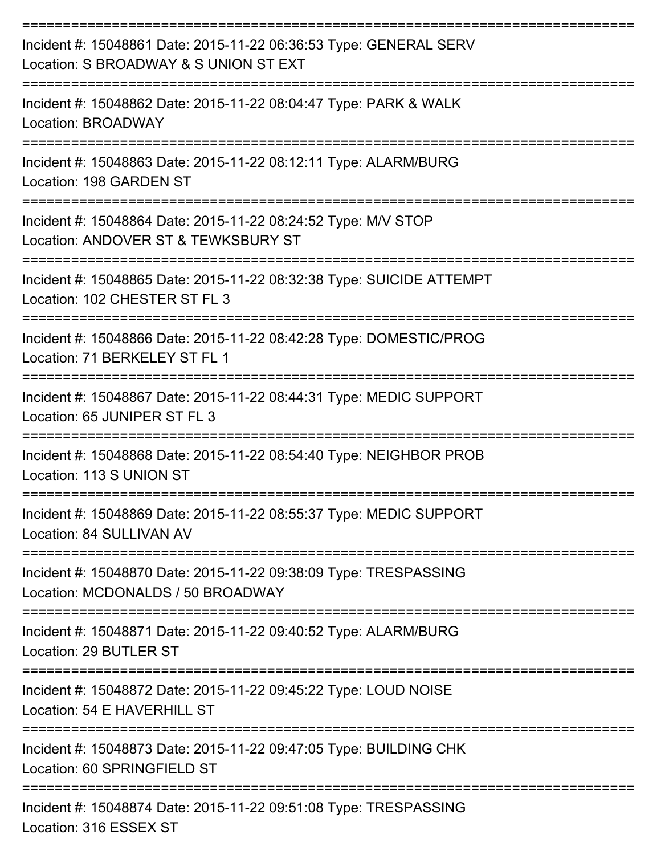| Incident #: 15048861 Date: 2015-11-22 06:36:53 Type: GENERAL SERV<br>Location: S BROADWAY & S UNION ST EXT                |
|---------------------------------------------------------------------------------------------------------------------------|
| Incident #: 15048862 Date: 2015-11-22 08:04:47 Type: PARK & WALK<br>Location: BROADWAY                                    |
| Incident #: 15048863 Date: 2015-11-22 08:12:11 Type: ALARM/BURG<br>Location: 198 GARDEN ST                                |
| Incident #: 15048864 Date: 2015-11-22 08:24:52 Type: M/V STOP<br>Location: ANDOVER ST & TEWKSBURY ST                      |
| Incident #: 15048865 Date: 2015-11-22 08:32:38 Type: SUICIDE ATTEMPT<br>Location: 102 CHESTER ST FL 3                     |
| Incident #: 15048866 Date: 2015-11-22 08:42:28 Type: DOMESTIC/PROG<br>Location: 71 BERKELEY ST FL 1                       |
| Incident #: 15048867 Date: 2015-11-22 08:44:31 Type: MEDIC SUPPORT<br>Location: 65 JUNIPER ST FL 3                        |
| Incident #: 15048868 Date: 2015-11-22 08:54:40 Type: NEIGHBOR PROB<br>Location: 113 S UNION ST                            |
| Incident #: 15048869 Date: 2015-11-22 08:55:37 Type: MEDIC SUPPORT<br>Location: 84 SULLIVAN AV                            |
| ----------------<br>Incident #: 15048870 Date: 2015-11-22 09:38:09 Type: TRESPASSING<br>Location: MCDONALDS / 50 BROADWAY |
| Incident #: 15048871 Date: 2015-11-22 09:40:52 Type: ALARM/BURG<br>Location: 29 BUTLER ST                                 |
| Incident #: 15048872 Date: 2015-11-22 09:45:22 Type: LOUD NOISE<br>Location: 54 E HAVERHILL ST                            |
| Incident #: 15048873 Date: 2015-11-22 09:47:05 Type: BUILDING CHK<br>Location: 60 SPRINGFIELD ST                          |
| Incident #: 15048874 Date: 2015-11-22 09:51:08 Type: TRESPASSING<br>Location: 316 ESSEX ST                                |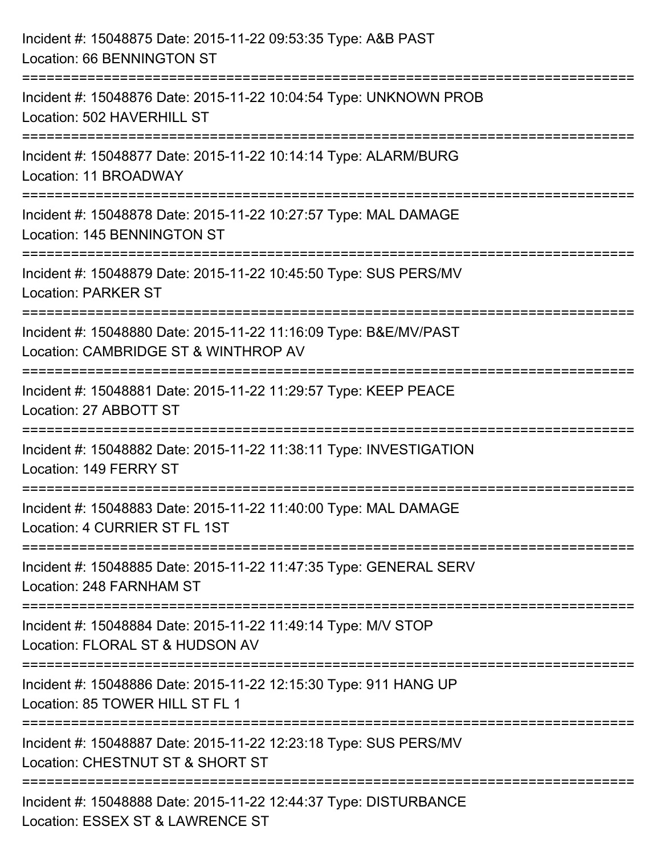| Incident #: 15048875 Date: 2015-11-22 09:53:35 Type: A&B PAST<br>Location: 66 BENNINGTON ST                                              |
|------------------------------------------------------------------------------------------------------------------------------------------|
| Incident #: 15048876 Date: 2015-11-22 10:04:54 Type: UNKNOWN PROB<br>Location: 502 HAVERHILL ST                                          |
| Incident #: 15048877 Date: 2015-11-22 10:14:14 Type: ALARM/BURG<br>Location: 11 BROADWAY<br>-----------------------------                |
| Incident #: 15048878 Date: 2015-11-22 10:27:57 Type: MAL DAMAGE<br>Location: 145 BENNINGTON ST                                           |
| Incident #: 15048879 Date: 2015-11-22 10:45:50 Type: SUS PERS/MV<br><b>Location: PARKER ST</b>                                           |
| Incident #: 15048880 Date: 2015-11-22 11:16:09 Type: B&E/MV/PAST<br>Location: CAMBRIDGE ST & WINTHROP AV<br>:=========================== |
| Incident #: 15048881 Date: 2015-11-22 11:29:57 Type: KEEP PEACE<br>Location: 27 ABBOTT ST                                                |
| Incident #: 15048882 Date: 2015-11-22 11:38:11 Type: INVESTIGATION<br>Location: 149 FERRY ST                                             |
| Incident #: 15048883 Date: 2015-11-22 11:40:00 Type: MAL DAMAGE<br>Location: 4 CURRIER ST FL 1ST                                         |
| Incident #: 15048885 Date: 2015-11-22 11:47:35 Type: GENERAL SERV<br>Location: 248 FARNHAM ST                                            |
| Incident #: 15048884 Date: 2015-11-22 11:49:14 Type: M/V STOP<br>Location: FLORAL ST & HUDSON AV                                         |
| Incident #: 15048886 Date: 2015-11-22 12:15:30 Type: 911 HANG UP<br>Location: 85 TOWER HILL ST FL 1                                      |
| Incident #: 15048887 Date: 2015-11-22 12:23:18 Type: SUS PERS/MV<br>Location: CHESTNUT ST & SHORT ST                                     |
| Incident #: 15048888 Date: 2015-11-22 12:44:37 Type: DISTURBANCE<br>Location: ESSEX ST & LAWRENCE ST                                     |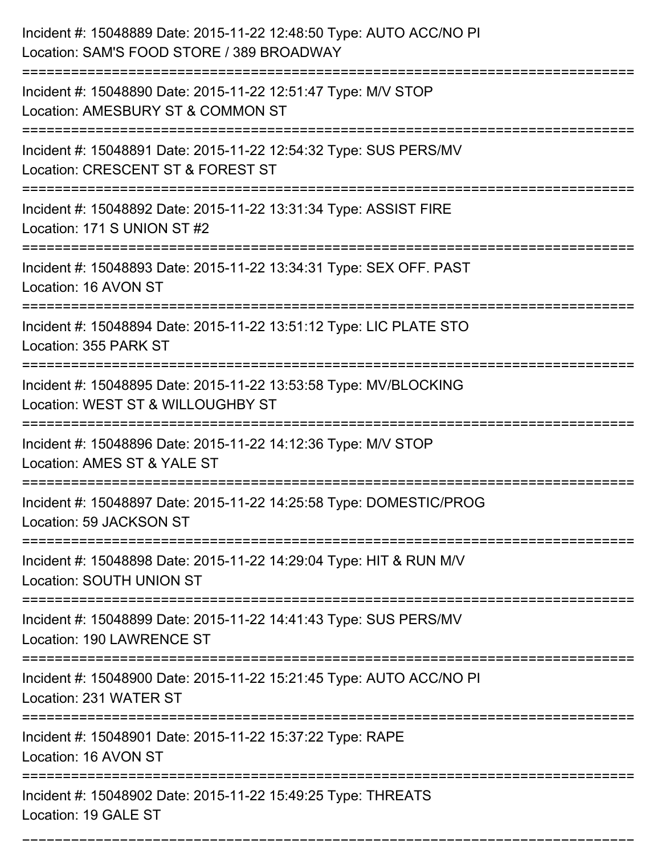| Incident #: 15048889 Date: 2015-11-22 12:48:50 Type: AUTO ACC/NO PI<br>Location: SAM'S FOOD STORE / 389 BROADWAY              |
|-------------------------------------------------------------------------------------------------------------------------------|
| Incident #: 15048890 Date: 2015-11-22 12:51:47 Type: M/V STOP<br>Location: AMESBURY ST & COMMON ST                            |
| Incident #: 15048891 Date: 2015-11-22 12:54:32 Type: SUS PERS/MV<br>Location: CRESCENT ST & FOREST ST<br>;=================== |
| Incident #: 15048892 Date: 2015-11-22 13:31:34 Type: ASSIST FIRE<br>Location: 171 S UNION ST #2                               |
| Incident #: 15048893 Date: 2015-11-22 13:34:31 Type: SEX OFF. PAST<br>Location: 16 AVON ST                                    |
| Incident #: 15048894 Date: 2015-11-22 13:51:12 Type: LIC PLATE STO<br>Location: 355 PARK ST                                   |
| Incident #: 15048895 Date: 2015-11-22 13:53:58 Type: MV/BLOCKING<br>Location: WEST ST & WILLOUGHBY ST                         |
| Incident #: 15048896 Date: 2015-11-22 14:12:36 Type: M/V STOP<br>Location: AMES ST & YALE ST                                  |
| Incident #: 15048897 Date: 2015-11-22 14:25:58 Type: DOMESTIC/PROG<br>Location: 59 JACKSON ST                                 |
| Incident #: 15048898 Date: 2015-11-22 14:29:04 Type: HIT & RUN M/V<br><b>Location: SOUTH UNION ST</b>                         |
| Incident #: 15048899 Date: 2015-11-22 14:41:43 Type: SUS PERS/MV<br>Location: 190 LAWRENCE ST                                 |
| Incident #: 15048900 Date: 2015-11-22 15:21:45 Type: AUTO ACC/NO PI<br>Location: 231 WATER ST                                 |
| ==========================<br>Incident #: 15048901 Date: 2015-11-22 15:37:22 Type: RAPE<br>Location: 16 AVON ST               |
| Incident #: 15048902 Date: 2015-11-22 15:49:25 Type: THREATS<br>Location: 19 GALE ST                                          |

===========================================================================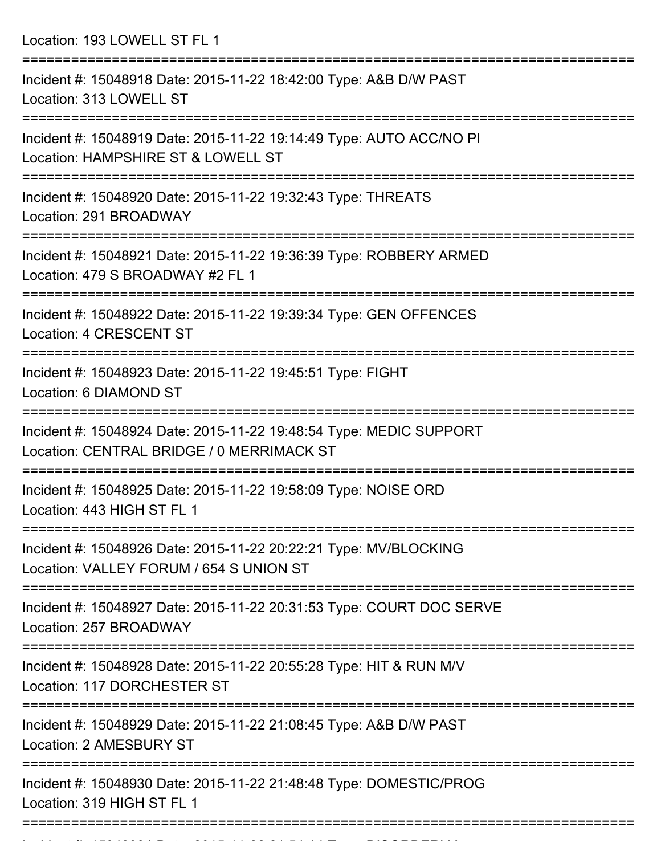Location: 193 LOWELL ST FL 1

| Incident #: 15048918 Date: 2015-11-22 18:42:00 Type: A&B D/W PAST<br>Location: 313 LOWELL ST                               |
|----------------------------------------------------------------------------------------------------------------------------|
| Incident #: 15048919 Date: 2015-11-22 19:14:49 Type: AUTO ACC/NO PI<br>Location: HAMPSHIRE ST & LOWELL ST                  |
| Incident #: 15048920 Date: 2015-11-22 19:32:43 Type: THREATS<br>Location: 291 BROADWAY                                     |
| Incident #: 15048921 Date: 2015-11-22 19:36:39 Type: ROBBERY ARMED<br>Location: 479 S BROADWAY #2 FL 1                     |
| Incident #: 15048922 Date: 2015-11-22 19:39:34 Type: GEN OFFENCES<br><b>Location: 4 CRESCENT ST</b>                        |
| ==================================<br>Incident #: 15048923 Date: 2015-11-22 19:45:51 Type: FIGHT<br>Location: 6 DIAMOND ST |
| Incident #: 15048924 Date: 2015-11-22 19:48:54 Type: MEDIC SUPPORT<br>Location: CENTRAL BRIDGE / 0 MERRIMACK ST            |
| Incident #: 15048925 Date: 2015-11-22 19:58:09 Type: NOISE ORD<br>Location: 443 HIGH ST FL 1                               |
| Incident #: 15048926 Date: 2015-11-22 20:22:21 Type: MV/BLOCKING<br>Location: VALLEY FORUM / 654 S UNION ST                |
| Incident #: 15048927 Date: 2015-11-22 20:31:53 Type: COURT DOC SERVE<br>Location: 257 BROADWAY                             |
| Incident #: 15048928 Date: 2015-11-22 20:55:28 Type: HIT & RUN M/V<br>Location: 117 DORCHESTER ST                          |
| Incident #: 15048929 Date: 2015-11-22 21:08:45 Type: A&B D/W PAST<br>Location: 2 AMESBURY ST                               |
| Incident #: 15048930 Date: 2015-11-22 21:48:48 Type: DOMESTIC/PROG<br>Location: 319 HIGH ST FL 1                           |
|                                                                                                                            |